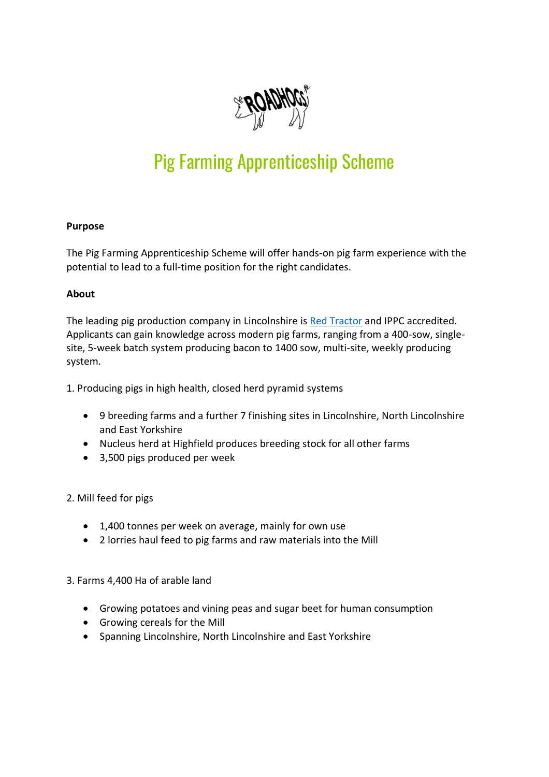

# Pig Farming Apprenticeship Scheme

## **Purpose**

The Pig Farming Apprenticeship Scheme will offer hands-on pig farm experience with the potential to lead to a full-time position for the right candidates.

## **About**

The leading pig production company in Lincolnshire is [Red Tractor](https://redtractor.org.uk/) and IPPC accredited. Applicants can gain knowledge across modern pig farms, ranging from a 400-sow, singlesite, 5-week batch system producing bacon to 1400 sow, multi-site, weekly producing system.

1. Producing pigs in high health, closed herd pyramid systems

- 9 breeding farms and a further 7 finishing sites in Lincolnshire, North Lincolnshire and East Yorkshire
- Nucleus herd at Highfield produces breeding stock for all other farms
- 3,500 pigs produced per week

## 2. Mill feed for pigs

- 1,400 tonnes per week on average, mainly for own use
- 2 lorries haul feed to pig farms and raw materials into the Mill

3. Farms 4,400 Ha of arable land

- Growing potatoes and vining peas and sugar beet for human consumption
- Growing cereals for the Mill
- Spanning Lincolnshire, North Lincolnshire and East Yorkshire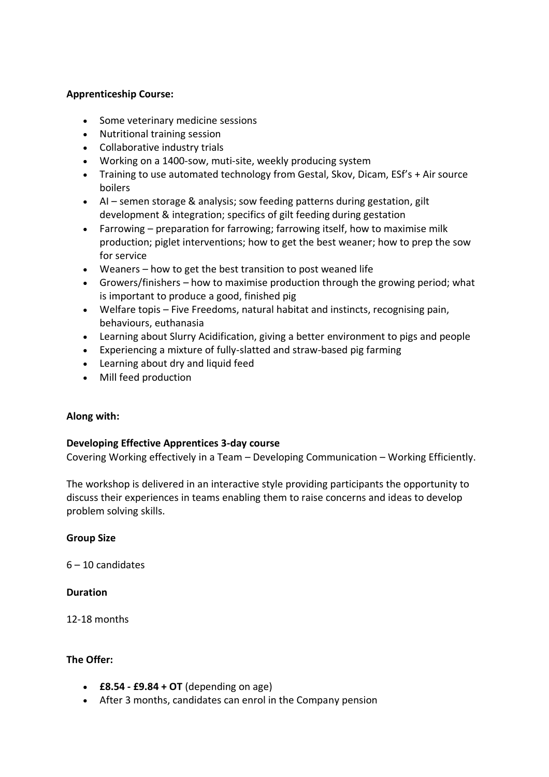## **Apprenticeship Course:**

- Some veterinary medicine sessions
- Nutritional training session
- Collaborative industry trials
- Working on a 1400-sow, muti-site, weekly producing system
- Training to use automated technology from Gestal, Skov, Dicam, ESf's + Air source boilers
- AI semen storage & analysis; sow feeding patterns during gestation, gilt development & integration; specifics of gilt feeding during gestation
- Farrowing preparation for farrowing; farrowing itself, how to maximise milk production; piglet interventions; how to get the best weaner; how to prep the sow for service
- Weaners how to get the best transition to post weaned life
- Growers/finishers how to maximise production through the growing period; what is important to produce a good, finished pig
- Welfare topis Five Freedoms, natural habitat and instincts, recognising pain, behaviours, euthanasia
- Learning about Slurry Acidification, giving a better environment to pigs and people
- Experiencing a mixture of fully-slatted and straw-based pig farming
- Learning about dry and liquid feed
- Mill feed production

#### **Along with:**

#### **Developing Effective Apprentices 3-day course**

Covering Working effectively in a Team – Developing Communication – Working Efficiently.

The workshop is delivered in an interactive style providing participants the opportunity to discuss their experiences in teams enabling them to raise concerns and ideas to develop problem solving skills.

#### **Group Size**

6 – 10 candidates

#### **Duration**

12-18 months

#### **The Offer:**

- **£8.54 - £9.84 + OT** (depending on age)
- After 3 months, candidates can enrol in the Company pension